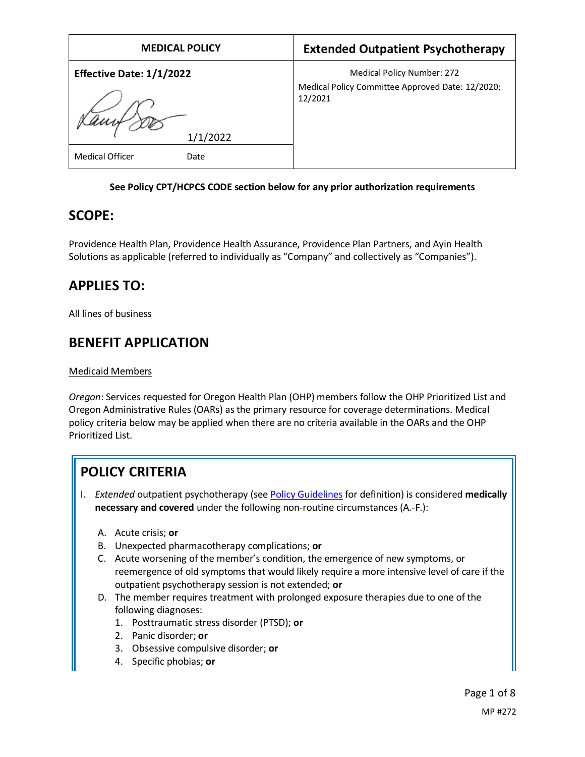| <b>MEDICAL POLICY</b>           | <b>Extended Outpatient Psychotherapy</b>                    |
|---------------------------------|-------------------------------------------------------------|
| <b>Effective Date: 1/1/2022</b> | <b>Medical Policy Number: 272</b>                           |
|                                 | Medical Policy Committee Approved Date: 12/2020;<br>12/2021 |
| 1/1/2022                        |                                                             |
| <b>Medical Officer</b><br>Date  |                                                             |

### **See Policy CPT/HCPCS CODE section below for any prior authorization requirements**

## **SCOPE:**

Providence Health Plan, Providence Health Assurance, Providence Plan Partners, and Ayin Health Solutions as applicable (referred to individually as "Company" and collectively as "Companies").

# **APPLIES TO:**

All lines of business

# **BENEFIT APPLICATION**

### Medicaid Members

*Oregon*: Services requested for Oregon Health Plan (OHP) members follow the OHP Prioritized List and Oregon Administrative Rules (OARs) as the primary resource for coverage determinations. Medical policy criteria below may be applied when there are no criteria available in the OARs and the OHP Prioritized List.

# **POLICY CRITERIA**

- I. *Extended* outpatient psychotherapy (se[e Policy Guidelines](#page-1-0) for definition) is considered **medically necessary and covered** under the following non-routine circumstances (A.-F.):
	- A. Acute crisis; **or**
	- B. Unexpected pharmacotherapy complications; **or**
	- C. Acute worsening of the member's condition, the emergence of new symptoms, or reemergence of old symptoms that would likely require a more intensive level of care if the outpatient psychotherapy session is not extended; **or**
	- D. The member requires treatment with prolonged exposure therapies due to one of the following diagnoses:
		- 1. Posttraumatic stress disorder (PTSD); **or**
		- 2. Panic disorder; **or**
		- 3. Obsessive compulsive disorder; **or**
		- 4. Specific phobias; **or**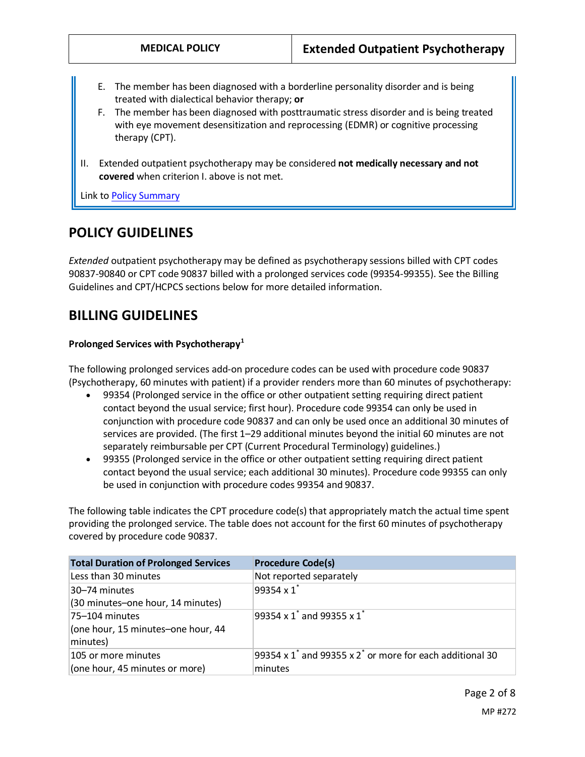- E. The member has been diagnosed with a borderline personality disorder and is being treated with dialectical behavior therapy; **or**
- F. The member has been diagnosed with posttraumatic stress disorder and is being treated with eye movement desensitization and reprocessing (EDMR) or cognitive processing therapy (CPT).
- II. Extended outpatient psychotherapy may be considered **not medically necessary and not covered** when criterion I. above is not met.

Link t[o Policy Summary](#page-6-0)

### **POLICY GUIDELINES**

<span id="page-1-0"></span>*Extended* outpatient psychotherapy may be defined as psychotherapy sessions billed with CPT codes 90837-90840 or CPT code 90837 billed with a prolonged services code (99354-99355). See the Billing Guidelines and CPT/HCPCS sections below for more detailed information.

## **BILLING GUIDELINES**

#### **Prolonged Services with Psychotherapy<sup>1</sup>**

The following prolonged services add-on procedure codes can be used with procedure code 90837 (Psychotherapy, 60 minutes with patient) if a provider renders more than 60 minutes of psychotherapy:

- 99354 (Prolonged service in the office or other outpatient setting requiring direct patient contact beyond the usual service; first hour). Procedure code 99354 can only be used in conjunction with procedure code 90837 and can only be used once an additional 30 minutes of services are provided. (The first 1–29 additional minutes beyond the initial 60 minutes are not separately reimbursable per CPT (Current Procedural Terminology) guidelines.)
- 99355 (Prolonged service in the office or other outpatient setting requiring direct patient contact beyond the usual service; each additional 30 minutes). Procedure code 99355 can only be used in conjunction with procedure codes 99354 and 90837.

The following table indicates the CPT procedure code(s) that appropriately match the actual time spent providing the prolonged service. The table does not account for the first 60 minutes of psychotherapy covered by procedure code 90837.

| <b>Total Duration of Prolonged Services</b> | <b>Procedure Code(s)</b>                                       |
|---------------------------------------------|----------------------------------------------------------------|
| Less than 30 minutes                        | Not reported separately                                        |
| 30–74 minutes                               | 99354 x 1 <sup>*</sup>                                         |
| (30 minutes-one hour, 14 minutes)           |                                                                |
| 75–104 minutes                              | 99354 x 1 <sup>*</sup> and 99355 x 1 <sup>*</sup>              |
| (one hour, 15 minutes-one hour, 44          |                                                                |
| minutes)                                    |                                                                |
| 105 or more minutes                         | 99354 x $1^*$ and 99355 x $2^*$ or more for each additional 30 |
| (one hour, 45 minutes or more)              | minutes                                                        |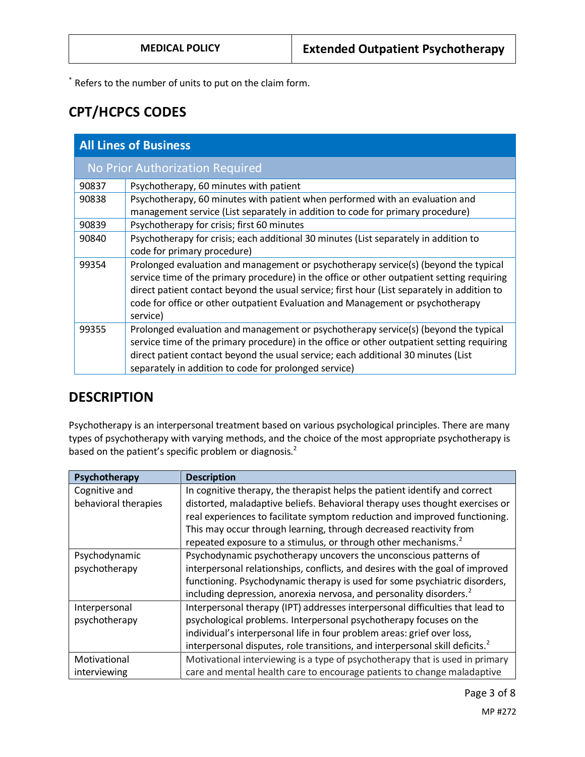\* Refers to the number of units to put on the claim form.

## **CPT/HCPCS CODES**

| <b>All Lines of Business</b>    |                                                                                                                                                                                                                                                                                                                                                                                |  |
|---------------------------------|--------------------------------------------------------------------------------------------------------------------------------------------------------------------------------------------------------------------------------------------------------------------------------------------------------------------------------------------------------------------------------|--|
| No Prior Authorization Required |                                                                                                                                                                                                                                                                                                                                                                                |  |
| 90837                           | Psychotherapy, 60 minutes with patient                                                                                                                                                                                                                                                                                                                                         |  |
| 90838                           | Psychotherapy, 60 minutes with patient when performed with an evaluation and<br>management service (List separately in addition to code for primary procedure)                                                                                                                                                                                                                 |  |
| 90839                           | Psychotherapy for crisis; first 60 minutes                                                                                                                                                                                                                                                                                                                                     |  |
| 90840                           | Psychotherapy for crisis; each additional 30 minutes (List separately in addition to<br>code for primary procedure)                                                                                                                                                                                                                                                            |  |
| 99354                           | Prolonged evaluation and management or psychotherapy service(s) (beyond the typical<br>service time of the primary procedure) in the office or other outpatient setting requiring<br>direct patient contact beyond the usual service; first hour (List separately in addition to<br>code for office or other outpatient Evaluation and Management or psychotherapy<br>service) |  |
| 99355                           | Prolonged evaluation and management or psychotherapy service(s) (beyond the typical<br>service time of the primary procedure) in the office or other outpatient setting requiring<br>direct patient contact beyond the usual service; each additional 30 minutes (List<br>separately in addition to code for prolonged service)                                                |  |

## **DESCRIPTION**

Psychotherapy is an interpersonal treatment based on various psychological principles. There are many types of psychotherapy with varying methods, and the choice of the most appropriate psychotherapy is based on the patient's specific problem or diagnosis.<sup>2</sup>

| Psychotherapy        | <b>Description</b>                                                                       |
|----------------------|------------------------------------------------------------------------------------------|
| Cognitive and        | In cognitive therapy, the therapist helps the patient identify and correct               |
| behavioral therapies | distorted, maladaptive beliefs. Behavioral therapy uses thought exercises or             |
|                      | real experiences to facilitate symptom reduction and improved functioning.               |
|                      | This may occur through learning, through decreased reactivity from                       |
|                      | repeated exposure to a stimulus, or through other mechanisms. <sup>2</sup>               |
| Psychodynamic        | Psychodynamic psychotherapy uncovers the unconscious patterns of                         |
| psychotherapy        | interpersonal relationships, conflicts, and desires with the goal of improved            |
|                      | functioning. Psychodynamic therapy is used for some psychiatric disorders,               |
|                      | including depression, anorexia nervosa, and personality disorders. <sup>2</sup>          |
| Interpersonal        | Interpersonal therapy (IPT) addresses interpersonal difficulties that lead to            |
| psychotherapy        | psychological problems. Interpersonal psychotherapy focuses on the                       |
|                      | individual's interpersonal life in four problem areas: grief over loss,                  |
|                      | interpersonal disputes, role transitions, and interpersonal skill deficits. <sup>2</sup> |
| Motivational         | Motivational interviewing is a type of psychotherapy that is used in primary             |
| interviewing         | care and mental health care to encourage patients to change maladaptive                  |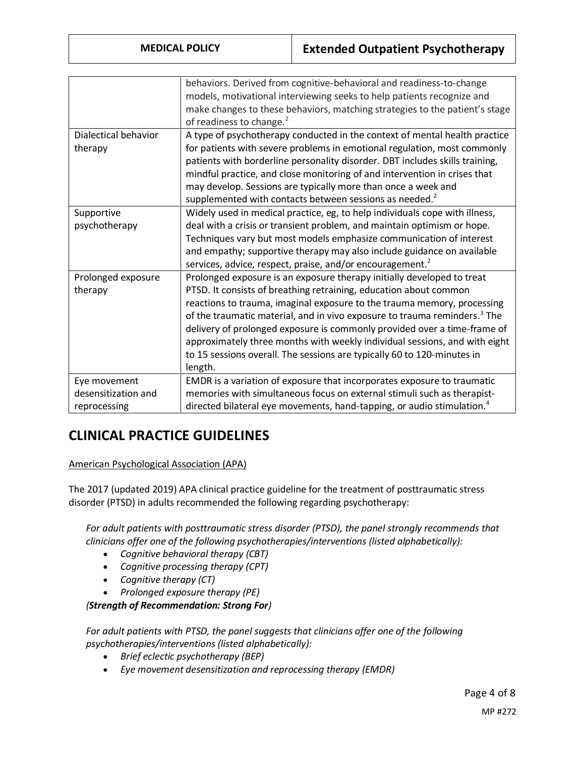|                      | behaviors. Derived from cognitive-behavioral and readiness-to-change                  |
|----------------------|---------------------------------------------------------------------------------------|
|                      | models, motivational interviewing seeks to help patients recognize and                |
|                      | make changes to these behaviors, matching strategies to the patient's stage           |
|                      | of readiness to change. <sup>2</sup>                                                  |
| Dialectical behavior | A type of psychotherapy conducted in the context of mental health practice            |
| therapy              | for patients with severe problems in emotional regulation, most commonly              |
|                      | patients with borderline personality disorder. DBT includes skills training,          |
|                      | mindful practice, and close monitoring of and intervention in crises that             |
|                      | may develop. Sessions are typically more than once a week and                         |
|                      | supplemented with contacts between sessions as needed. <sup>2</sup>                   |
| Supportive           | Widely used in medical practice, eg, to help individuals cope with illness,           |
| psychotherapy        | deal with a crisis or transient problem, and maintain optimism or hope.               |
|                      | Techniques vary but most models emphasize communication of interest                   |
|                      | and empathy; supportive therapy may also include guidance on available                |
|                      | services, advice, respect, praise, and/or encouragement. <sup>2</sup>                 |
| Prolonged exposure   | Prolonged exposure is an exposure therapy initially developed to treat                |
| therapy              | PTSD. It consists of breathing retraining, education about common                     |
|                      | reactions to trauma, imaginal exposure to the trauma memory, processing               |
|                      | of the traumatic material, and in vivo exposure to trauma reminders. <sup>3</sup> The |
|                      | delivery of prolonged exposure is commonly provided over a time-frame of              |
|                      | approximately three months with weekly individual sessions, and with eight            |
|                      | to 15 sessions overall. The sessions are typically 60 to 120-minutes in               |
|                      | length.                                                                               |
| Eye movement         | EMDR is a variation of exposure that incorporates exposure to traumatic               |
| desensitization and  | memories with simultaneous focus on external stimuli such as therapist-               |
| reprocessing         | directed bilateral eye movements, hand-tapping, or audio stimulation. <sup>4</sup>    |

# **CLINICAL PRACTICE GUIDELINES**

### American Psychological Association (APA)

The 2017 (updated 2019) APA clinical practice guideline for the treatment of posttraumatic stress disorder (PTSD) in adults recommended the following regarding psychotherapy:

*For adult patients with posttraumatic stress disorder (PTSD), the panel strongly recommends that clinicians offer one of the following psychotherapies/interventions (listed alphabetically):*

- *Cognitive behavioral therapy (CBT)*
- *Cognitive processing therapy (CPT)*
- *Cognitive therapy (CT)*
- *Prolonged exposure therapy (PE)*

*(Strength of Recommendation: Strong For)*

For adult patients with PTSD, the panel suggests that clinicians offer one of the following *psychotherapies/interventions (listed alphabetically):*

- *Brief eclectic psychotherapy (BEP)*
- *Eye movement desensitization and reprocessing therapy (EMDR)*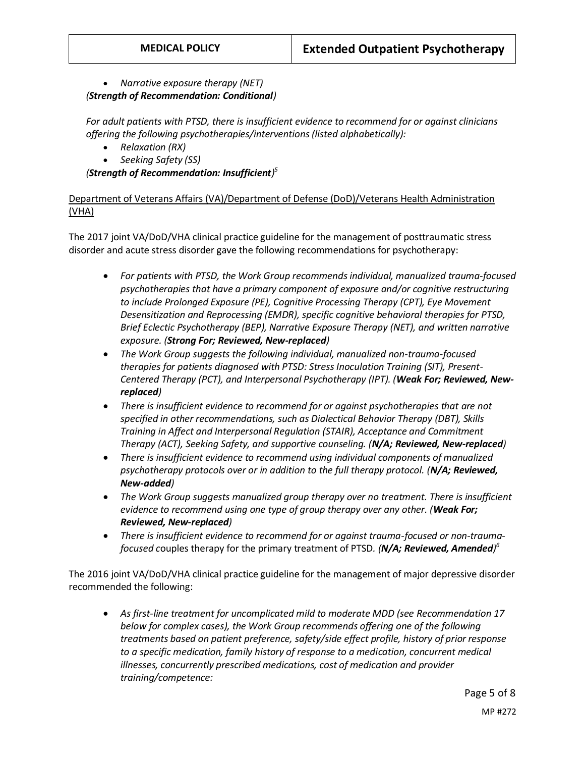• *Narrative exposure therapy (NET) (Strength of Recommendation: Conditional)*

*For adult patients with PTSD, there is insufficient evidence to recommend for or against clinicians offering the following psychotherapies/interventions (listed alphabetically):*

- *Relaxation (RX)*
- *Seeking Safety (SS)*

*(Strength of Recommendation: Insufficient) 5*

Department of Veterans Affairs (VA)/Department of Defense (DoD)/Veterans Health Administration (VHA)

The 2017 joint VA/DoD/VHA clinical practice guideline for the management of posttraumatic stress disorder and acute stress disorder gave the following recommendations for psychotherapy:

- *For patients with PTSD, the Work Group recommends individual, manualized trauma-focused psychotherapies that have a primary component of exposure and/or cognitive restructuring to include Prolonged Exposure (PE), Cognitive Processing Therapy (CPT), Eye Movement Desensitization and Reprocessing (EMDR), specific cognitive behavioral therapies for PTSD, Brief Eclectic Psychotherapy (BEP), Narrative Exposure Therapy (NET), and written narrative exposure. (Strong For; Reviewed, New-replaced)*
- *The Work Group suggests the following individual, manualized non-trauma-focused therapies for patients diagnosed with PTSD: Stress Inoculation Training (SIT), Present-Centered Therapy (PCT), and Interpersonal Psychotherapy (IPT). (Weak For; Reviewed, Newreplaced)*
- There is insufficient evidence to recommend for or against psychotherapies that are not *specified in other recommendations, such as Dialectical Behavior Therapy (DBT), Skills Training in Affect and Interpersonal Regulation (STAIR), Acceptance and Commitment Therapy (ACT), Seeking Safety, and supportive counseling. (N/A; Reviewed, New-replaced)*
- *There is insufficient evidence to recommend using individual components of manualized psychotherapy protocols over or in addition to the full therapy protocol. (N/A; Reviewed, New-added)*
- *The Work Group suggests manualized group therapy over no treatment. There is insufficient evidence to recommend using one type of group therapy over any other. (Weak For; Reviewed, New-replaced)*
- *There is insufficient evidence to recommend for or against trauma-focused or non-traumafocused c*ouples therapy for the primary treatment of PTSD*. (N/A; Reviewed, Amended) 6*

The 2016 joint VA/DoD/VHA clinical practice guideline for the management of major depressive disorder recommended the following:

• *As first-line treatment for uncomplicated mild to moderate MDD (see Recommendation 17 below for complex cases), the Work Group recommends offering one of the following treatments based on patient preference, safety/side effect profile, history of prior response to a specific medication, family history of response to a medication, concurrent medical illnesses, concurrently prescribed medications, cost of medication and provider training/competence:*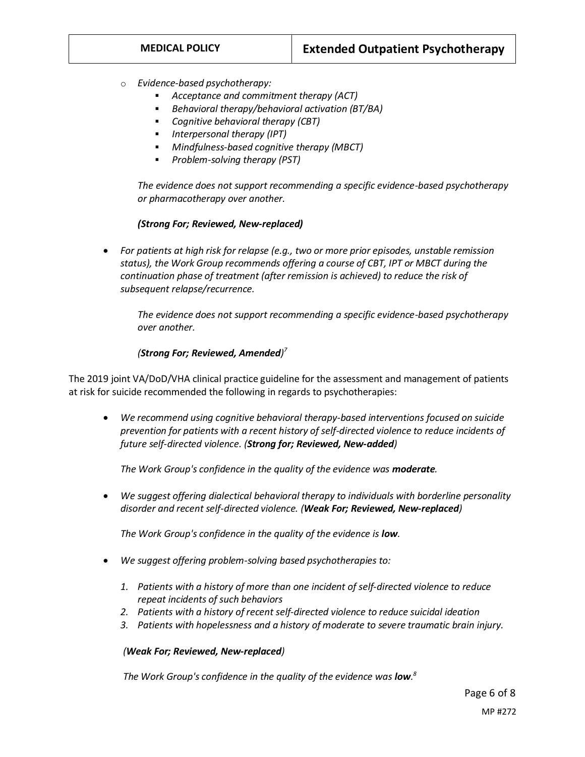- o *Evidence-based psychotherapy:*
	- *Acceptance and commitment therapy (ACT)*
	- *Behavioral therapy/behavioral activation (BT/BA)*
	- *Cognitive behavioral therapy (CBT)*
	- *Interpersonal therapy (IPT)*
	- *Mindfulness-based cognitive therapy (MBCT)*
	- *Problem-solving therapy (PST)*

*The evidence does not support recommending a specific evidence-based psychotherapy or pharmacotherapy over another.*

#### *(Strong For; Reviewed, New-replaced)*

• *For patients at high risk for relapse (e.g., two or more prior episodes, unstable remission status), the Work Group recommends offering a course of CBT, IPT or MBCT during the continuation phase of treatment (after remission is achieved) to reduce the risk of subsequent relapse/recurrence.*

*The evidence does not support recommending a specific evidence-based psychotherapy over another.*

#### *(Strong For; Reviewed, Amended) 7*

The 2019 joint VA/DoD/VHA clinical practice guideline for the assessment and management of patients at risk for suicide recommended the following in regards to psychotherapies:

• *We recommend using cognitive behavioral therapy-based interventions focused on suicide prevention for patients with a recent history of self-directed violence to reduce incidents of future self-directed violence. (Strong for; Reviewed, New-added)*

*The Work Group's confidence in the quality of the evidence was moderate.*

• *We suggest offering dialectical behavioral therapy to individuals with borderline personality disorder and recent self-directed violence. (Weak For; Reviewed, New-replaced)*

*The Work Group's confidence in the quality of the evidence is low.*

- *We suggest offering problem-solving based psychotherapies to:*
	- *1. Patients with a history of more than one incident of self-directed violence to reduce repeat incidents of such behaviors*
	- *2. Patients with a history of recent self-directed violence to reduce suicidal ideation*
	- *3. Patients with hopelessness and a history of moderate to severe traumatic brain injury.*

#### *(Weak For; Reviewed, New-replaced)*

 *The Work Group's confidence in the quality of the evidence was low. 8*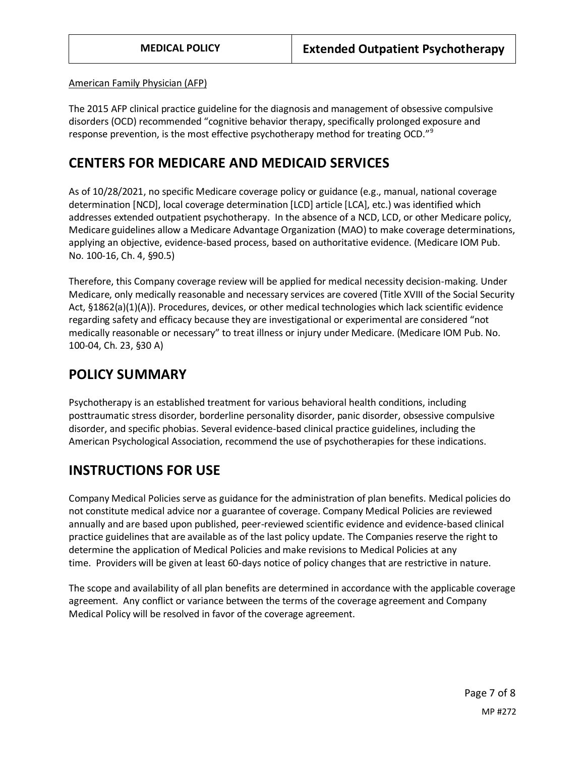American Family Physician (AFP)

The 2015 AFP clinical practice guideline for the diagnosis and management of obsessive compulsive disorders (OCD) recommended "cognitive behavior therapy, specifically prolonged exposure and response prevention, is the most effective psychotherapy method for treating OCD."<sup>9</sup>

### <span id="page-6-0"></span>**CENTERS FOR MEDICARE AND MEDICAID SERVICES**

As of 10/28/2021, no specific Medicare coverage policy or guidance (e.g., manual, national coverage determination [NCD], local coverage determination [LCD] article [LCA], etc.) was identified which addresses extended outpatient psychotherapy. In the absence of a NCD, LCD, or other Medicare policy, Medicare guidelines allow a Medicare Advantage Organization (MAO) to make coverage determinations, applying an objective, evidence-based process, based on authoritative evidence. (Medicare IOM Pub. No. 100-16, Ch. 4, §90.5)

Therefore, this Company coverage review will be applied for medical necessity decision-making. Under Medicare, only medically reasonable and necessary services are covered (Title XVIII of the Social Security Act, §1862(a)(1)(A)). Procedures, devices, or other medical technologies which lack scientific evidence regarding safety and efficacy because they are investigational or experimental are considered "not medically reasonable or necessary" to treat illness or injury under Medicare. (Medicare IOM Pub. No. 100-04, Ch. 23, §30 A)

## **POLICY SUMMARY**

Psychotherapy is an established treatment for various behavioral health conditions, including posttraumatic stress disorder, borderline personality disorder, panic disorder, obsessive compulsive disorder, and specific phobias. Several evidence-based clinical practice guidelines, including the American Psychological Association, recommend the use of psychotherapies for these indications.

## **INSTRUCTIONS FOR USE**

Company Medical Policies serve as guidance for the administration of plan benefits. Medical policies do not constitute medical advice nor a guarantee of coverage. Company Medical Policies are reviewed annually and are based upon published, peer-reviewed scientific evidence and evidence-based clinical practice guidelines that are available as of the last policy update. The Companies reserve the right to determine the application of Medical Policies and make revisions to Medical Policies at any time. Providers will be given at least 60-days notice of policy changes that are restrictive in nature.

The scope and availability of all plan benefits are determined in accordance with the applicable coverage agreement. Any conflict or variance between the terms of the coverage agreement and Company Medical Policy will be resolved in favor of the coverage agreement.